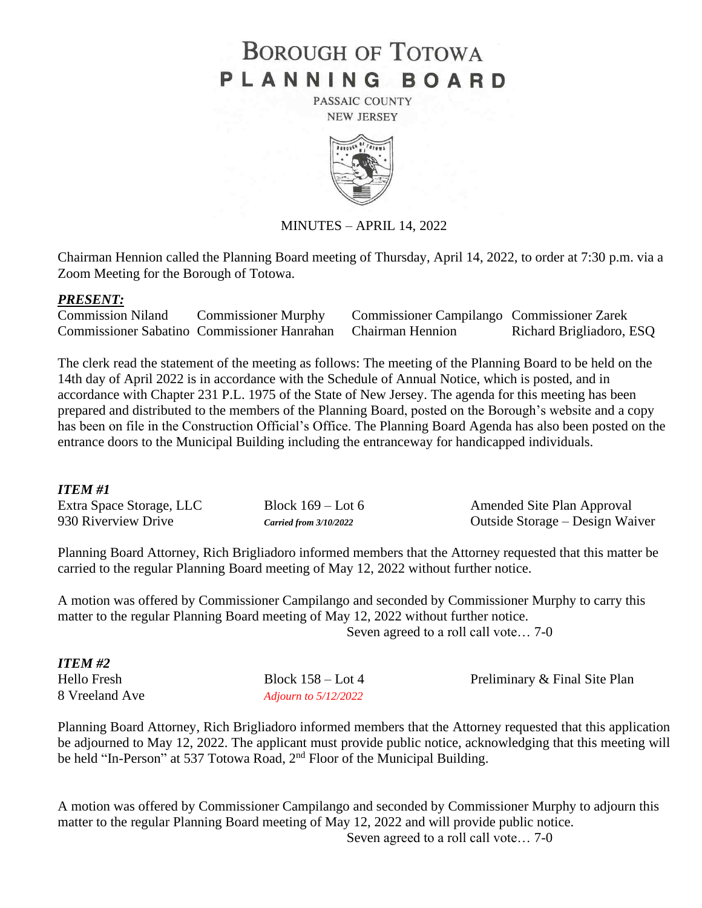# **BOROUGH OF TOTOWA** PLANNING BOARD

PASSAIC COUNTY **NEW JERSEY** 



MINUTES – APRIL 14, 2022

Chairman Hennion called the Planning Board meeting of Thursday, April 14, 2022, to order at 7:30 p.m. via a Zoom Meeting for the Borough of Totowa.

#### *PRESENT:*

| <b>Commission Niland</b> | <b>Commissioner Murphy</b>                                   | <b>Commissioner Campilango Commissioner Zarek</b> |                          |
|--------------------------|--------------------------------------------------------------|---------------------------------------------------|--------------------------|
|                          | Commissioner Sabatino Commissioner Hanrahan Chairman Hennion |                                                   | Richard Brigliadoro, ESQ |

The clerk read the statement of the meeting as follows: The meeting of the Planning Board to be held on the 14th day of April 2022 is in accordance with the Schedule of Annual Notice, which is posted, and in accordance with Chapter 231 P.L. 1975 of the State of New Jersey. The agenda for this meeting has been prepared and distributed to the members of the Planning Board, posted on the Borough's website and a copy has been on file in the Construction Official's Office. The Planning Board Agenda has also been posted on the entrance doors to the Municipal Building including the entranceway for handicapped individuals.

### *ITEM #1*

| Extra Space Storage, LLC | Block $169 -$ Lot 6      | Amended Site Plan Approval      |
|--------------------------|--------------------------|---------------------------------|
| 930 Riverview Drive      | Carried from $3/10/2022$ | Outside Storage – Design Waiver |

Planning Board Attorney, Rich Brigliadoro informed members that the Attorney requested that this matter be carried to the regular Planning Board meeting of May 12, 2022 without further notice.

A motion was offered by Commissioner Campilango and seconded by Commissioner Murphy to carry this matter to the regular Planning Board meeting of May 12, 2022 without further notice.

Seven agreed to a roll call vote… 7-0

| <b>ITEM #2</b> |                        |                               |
|----------------|------------------------|-------------------------------|
| Hello Fresh    | Block $158 -$ Lot 4    | Preliminary & Final Site Plan |
| 8 Vreeland Ave | Adiourn to $5/12/2022$ |                               |

Planning Board Attorney, Rich Brigliadoro informed members that the Attorney requested that this application be adjourned to May 12, 2022. The applicant must provide public notice, acknowledging that this meeting will be held "In-Person" at 537 Totowa Road, 2<sup>nd</sup> Floor of the Municipal Building.

A motion was offered by Commissioner Campilango and seconded by Commissioner Murphy to adjourn this matter to the regular Planning Board meeting of May 12, 2022 and will provide public notice. Seven agreed to a roll call vote… 7-0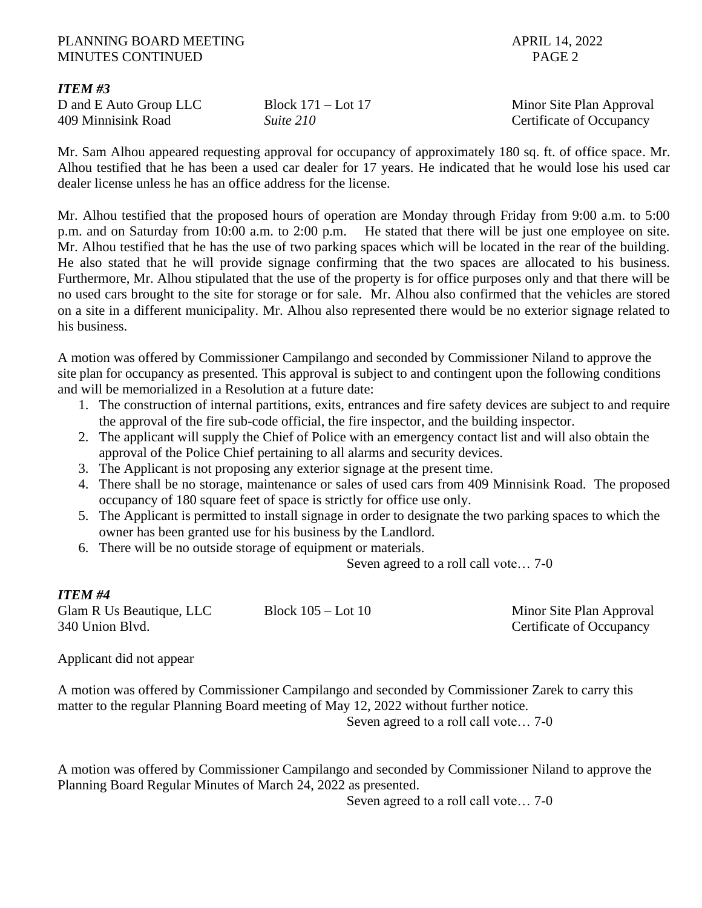### PLANNING BOARD MEETING APRIL 14, 2022 MINUTES CONTINUED **PAGE 2**

*ITEM #3*

409 Minnisink Road *Suite 210* Certificate of Occupancy

D and E Auto Group LLC Block 171 – Lot 17 Minor Site Plan Approval

Mr. Sam Alhou appeared requesting approval for occupancy of approximately 180 sq. ft. of office space. Mr. Alhou testified that he has been a used car dealer for 17 years. He indicated that he would lose his used car dealer license unless he has an office address for the license.

Mr. Alhou testified that the proposed hours of operation are Monday through Friday from 9:00 a.m. to 5:00 p.m. and on Saturday from 10:00 a.m. to 2:00 p.m. He stated that there will be just one employee on site. Mr. Alhou testified that he has the use of two parking spaces which will be located in the rear of the building. He also stated that he will provide signage confirming that the two spaces are allocated to his business. Furthermore, Mr. Alhou stipulated that the use of the property is for office purposes only and that there will be no used cars brought to the site for storage or for sale. Mr. Alhou also confirmed that the vehicles are stored on a site in a different municipality. Mr. Alhou also represented there would be no exterior signage related to his business.

A motion was offered by Commissioner Campilango and seconded by Commissioner Niland to approve the site plan for occupancy as presented. This approval is subject to and contingent upon the following conditions and will be memorialized in a Resolution at a future date:

- 1. The construction of internal partitions, exits, entrances and fire safety devices are subject to and require the approval of the fire sub-code official, the fire inspector, and the building inspector.
- 2. The applicant will supply the Chief of Police with an emergency contact list and will also obtain the approval of the Police Chief pertaining to all alarms and security devices.
- 3. The Applicant is not proposing any exterior signage at the present time.
- 4. There shall be no storage, maintenance or sales of used cars from 409 Minnisink Road. The proposed occupancy of 180 square feet of space is strictly for office use only.
- 5. The Applicant is permitted to install signage in order to designate the two parking spaces to which the owner has been granted use for his business by the Landlord.
- 6. There will be no outside storage of equipment or materials.

Seven agreed to a roll call vote… 7-0

# *ITEM #4*

Glam R Us Beautique, LLC Block 105 – Lot 10 Minor Site Plan Approval 340 Union Blvd. Certificate of Occupancy

Applicant did not appear

A motion was offered by Commissioner Campilango and seconded by Commissioner Zarek to carry this matter to the regular Planning Board meeting of May 12, 2022 without further notice. Seven agreed to a roll call vote… 7-0

A motion was offered by Commissioner Campilango and seconded by Commissioner Niland to approve the Planning Board Regular Minutes of March 24, 2022 as presented.

Seven agreed to a roll call vote… 7-0